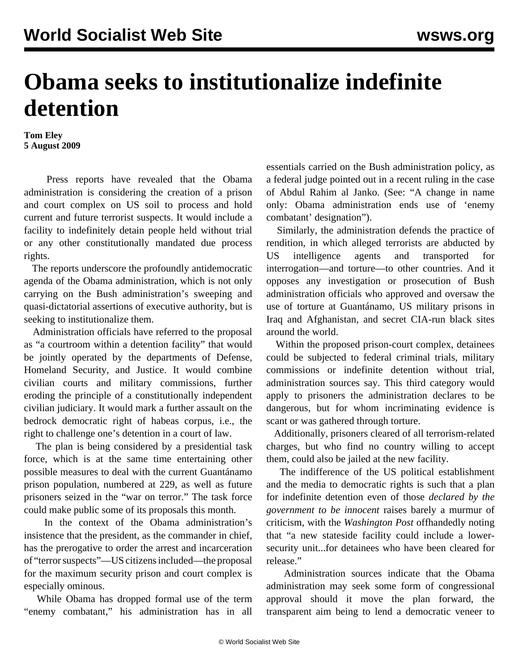## **Obama seeks to institutionalize indefinite detention**

**Tom Eley 5 August 2009**

 Press reports have revealed that the Obama administration is considering the creation of a prison and court complex on US soil to process and hold current and future terrorist suspects. It would include a facility to indefinitely detain people held without trial or any other constitutionally mandated due process rights.

 The reports underscore the profoundly antidemocratic agenda of the Obama administration, which is not only carrying on the Bush administration's sweeping and quasi-dictatorial assertions of executive authority, but is seeking to institutionalize them.

 Administration officials have referred to the proposal as "a courtroom within a detention facility" that would be jointly operated by the departments of Defense, Homeland Security, and Justice. It would combine civilian courts and military commissions, further eroding the principle of a constitutionally independent civilian judiciary. It would mark a further assault on the bedrock democratic right of habeas corpus, i.e., the right to challenge one's detention in a court of law.

 The plan is being considered by a presidential task force, which is at the same time entertaining other possible measures to deal with the current Guantánamo prison population, numbered at 229, as well as future prisoners seized in the "war on terror." The task force could make public some of its proposals this month.

 In the context of the Obama administration's insistence that the president, as the commander in chief, has the prerogative to order the arrest and incarceration of "terror suspects"—US citizens included—the proposal for the maximum security prison and court complex is especially ominous.

 While Obama has dropped formal use of the term "enemy combatant," his administration has in all essentials carried on the Bush administration policy, as a federal judge pointed out in a recent ruling in the case of Abdul Rahim al Janko. (See: ["A change in name](/en/articles/2009/mar2009/comb-m16.shtml) [only: Obama administration ends use of 'enemy](/en/articles/2009/mar2009/comb-m16.shtml) [combatant' designation"](/en/articles/2009/mar2009/comb-m16.shtml)).

 Similarly, the administration defends the practice of rendition, in which alleged terrorists are abducted by US intelligence agents and transported for interrogation—and torture—to other countries. And it opposes any investigation or prosecution of Bush administration officials who approved and oversaw the use of torture at Guantánamo, US military prisons in Iraq and Afghanistan, and secret CIA-run black sites around the world.

 Within the proposed prison-court complex, detainees could be subjected to federal criminal trials, military commissions or indefinite detention without trial, administration sources say. This third category would apply to prisoners the administration declares to be dangerous, but for whom incriminating evidence is scant or was gathered through torture.

 Additionally, prisoners cleared of all terrorism-related charges, but who find no country willing to accept them, could also be jailed at the new facility.

 The indifference of the US political establishment and the media to democratic rights is such that a plan for indefinite detention even of those *declared by the government to be innocent* raises barely a murmur of criticism, with the *Washington Post* offhandedly noting that "a new stateside facility could include a lowersecurity unit...for detainees who have been cleared for release."

 Administration sources indicate that the Obama administration may seek some form of congressional approval should it move the plan forward, the transparent aim being to lend a democratic veneer to